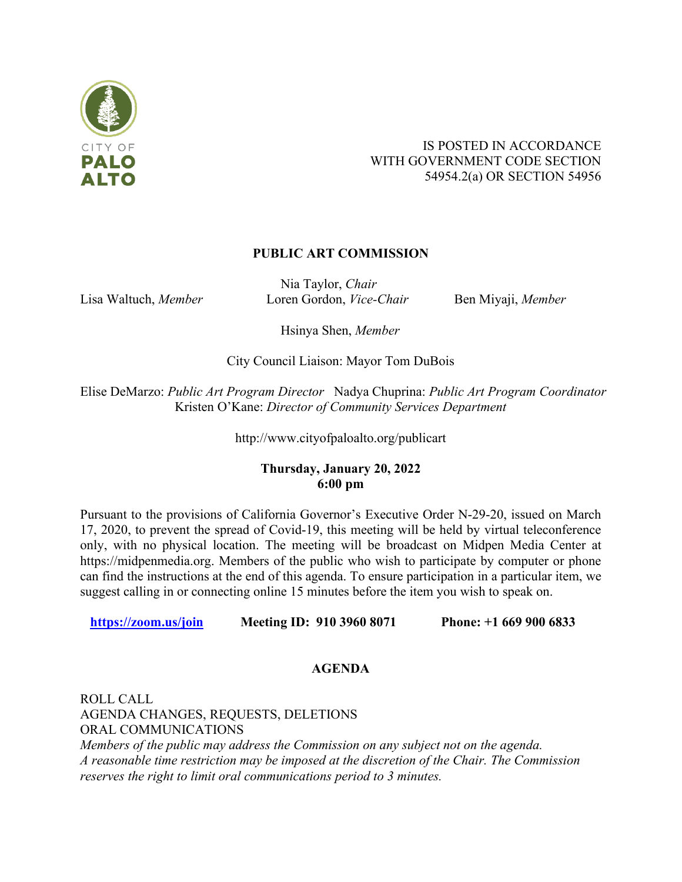

# IS POSTED IN ACCORDANCE WITH GOVERNMENT CODE SECTION 54954.2(a) OR SECTION 54956

# **PUBLIC ART COMMISSION**

Nia Taylor, *Chair* Lisa Waltuch, *Member* Loren Gordon, *Vice-Chair* Ben Miyaji, *Member* 

Hsinya Shen, *Member*

City Council Liaison: Mayor Tom DuBois

Elise DeMarzo: *Public Art Program Director* Nadya Chuprina: *Public Art Program Coordinator*  Kristen O'Kane: *Director of Community Services Department*

http://www.cityofpaloalto.org/publicart

# **Thursday, January 20, 2022 6:00 pm**

Pursuant to the provisions of California Governor's Executive Order N-29-20, issued on March 17, 2020, to prevent the spread of Covid-19, this meeting will be held by virtual teleconference only, with no physical location. The meeting will be broadcast on Midpen Media Center at https://midpenmedia.org. Members of the public who wish to participate by computer or phone can find the instructions at the end of this agenda. To ensure participation in a particular item, we suggest calling in or connecting online 15 minutes before the item you wish to speak on.

 **<https://zoom.us/join>Meeting ID: 910 3960 8071 Phone: +1 669 900 6833**

# **AGENDA**

ROLL CALL AGENDA CHANGES, REQUESTS, DELETIONS ORAL COMMUNICATIONS *Members of the public may address the Commission on any subject not on the agenda. A reasonable time restriction may be imposed at the discretion of the Chair. The Commission reserves the right to limit oral communications period to 3 minutes.*